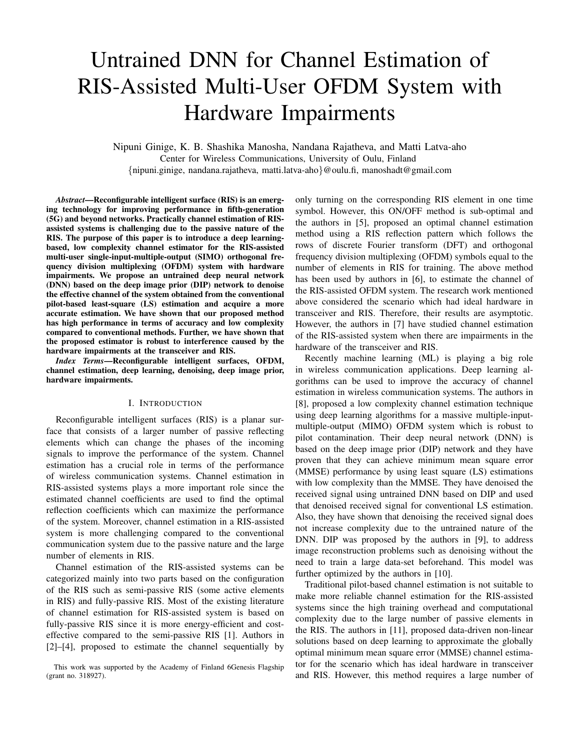# Untrained DNN for Channel Estimation of RIS-Assisted Multi-User OFDM System with Hardware Impairments

Nipuni Ginige, K. B. Shashika Manosha, Nandana Rajatheva, and Matti Latva-aho Center for Wireless Communications, University of Oulu, Finland {nipuni.ginige, nandana.rajatheva, matti.latva-aho}@oulu.fi, manoshadt@gmail.com

*Abstract*—Reconfigurable intelligent surface (RIS) is an emerging technology for improving performance in fifth-generation (5G) and beyond networks. Practically channel estimation of RISassisted systems is challenging due to the passive nature of the RIS. The purpose of this paper is to introduce a deep learningbased, low complexity channel estimator for the RIS-assisted multi-user single-input-multiple-output (SIMO) orthogonal frequency division multiplexing (OFDM) system with hardware impairments. We propose an untrained deep neural network (DNN) based on the deep image prior (DIP) network to denoise the effective channel of the system obtained from the conventional pilot-based least-square (LS) estimation and acquire a more accurate estimation. We have shown that our proposed method has high performance in terms of accuracy and low complexity compared to conventional methods. Further, we have shown that the proposed estimator is robust to interference caused by the hardware impairments at the transceiver and RIS.

*Index Terms*—Reconfigurable intelligent surfaces, OFDM, channel estimation, deep learning, denoising, deep image prior, hardware impairments.

# I. INTRODUCTION

Reconfigurable intelligent surfaces (RIS) is a planar surface that consists of a larger number of passive reflecting elements which can change the phases of the incoming signals to improve the performance of the system. Channel estimation has a crucial role in terms of the performance of wireless communication systems. Channel estimation in RIS-assisted systems plays a more important role since the estimated channel coefficients are used to find the optimal reflection coefficients which can maximize the performance of the system. Moreover, channel estimation in a RIS-assisted system is more challenging compared to the conventional communication system due to the passive nature and the large number of elements in RIS.

Channel estimation of the RIS-assisted systems can be categorized mainly into two parts based on the configuration of the RIS such as semi-passive RIS (some active elements in RIS) and fully-passive RIS. Most of the existing literature of channel estimation for RIS-assisted system is based on fully-passive RIS since it is more energy-efficient and costeffective compared to the semi-passive RIS [1]. Authors in [2]–[4], proposed to estimate the channel sequentially by

This work was supported by the Academy of Finland 6Genesis Flagship (grant no. 318927).

only turning on the corresponding RIS element in one time symbol. However, this ON/OFF method is sub-optimal and the authors in [5], proposed an optimal channel estimation method using a RIS reflection pattern which follows the rows of discrete Fourier transform (DFT) and orthogonal frequency division multiplexing (OFDM) symbols equal to the number of elements in RIS for training. The above method has been used by authors in [6], to estimate the channel of the RIS-assisted OFDM system. The research work mentioned above considered the scenario which had ideal hardware in transceiver and RIS. Therefore, their results are asymptotic. However, the authors in [7] have studied channel estimation of the RIS-assisted system when there are impairments in the hardware of the transceiver and RIS.

Recently machine learning (ML) is playing a big role in wireless communication applications. Deep learning algorithms can be used to improve the accuracy of channel estimation in wireless communication systems. The authors in [8], proposed a low complexity channel estimation technique using deep learning algorithms for a massive multiple-inputmultiple-output (MIMO) OFDM system which is robust to pilot contamination. Their deep neural network (DNN) is based on the deep image prior (DIP) network and they have proven that they can achieve minimum mean square error (MMSE) performance by using least square (LS) estimations with low complexity than the MMSE. They have denoised the received signal using untrained DNN based on DIP and used that denoised received signal for conventional LS estimation. Also, they have shown that denoising the received signal does not increase complexity due to the untrained nature of the DNN. DIP was proposed by the authors in [9], to address image reconstruction problems such as denoising without the need to train a large data-set beforehand. This model was further optimized by the authors in [10].

Traditional pilot-based channel estimation is not suitable to make more reliable channel estimation for the RIS-assisted systems since the high training overhead and computational complexity due to the large number of passive elements in the RIS. The authors in [11], proposed data-driven non-linear solutions based on deep learning to approximate the globally optimal minimum mean square error (MMSE) channel estimator for the scenario which has ideal hardware in transceiver and RIS. However, this method requires a large number of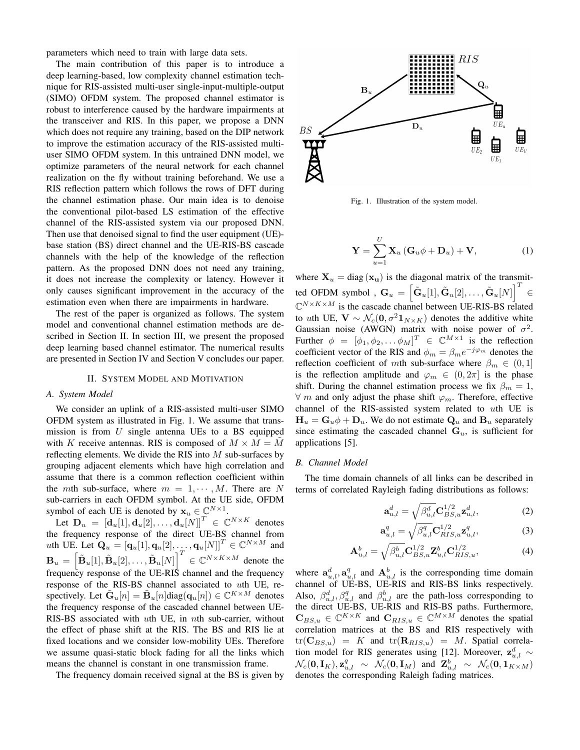parameters which need to train with large data sets.

The main contribution of this paper is to introduce a deep learning-based, low complexity channel estimation technique for RIS-assisted multi-user single-input-multiple-output (SIMO) OFDM system. The proposed channel estimator is robust to interference caused by the hardware impairments at the transceiver and RIS. In this paper, we propose a DNN which does not require any training, based on the DIP network to improve the estimation accuracy of the RIS-assisted multiuser SIMO OFDM system. In this untrained DNN model, we optimize parameters of the neural network for each channel realization on the fly without training beforehand. We use a RIS reflection pattern which follows the rows of DFT during the channel estimation phase. Our main idea is to denoise the conventional pilot-based LS estimation of the effective channel of the RIS-assisted system via our proposed DNN. Then use that denoised signal to find the user equipment (UE) base station (BS) direct channel and the UE-RIS-BS cascade channels with the help of the knowledge of the reflection pattern. As the proposed DNN does not need any training, it does not increase the complexity or latency. However it only causes significant improvement in the accuracy of the estimation even when there are impairments in hardware.

The rest of the paper is organized as follows. The system model and conventional channel estimation methods are described in Section II. In section III, we present the proposed deep learning based channel estimator. The numerical results are presented in Section IV and Section V concludes our paper.

#### II. SYSTEM MODEL AND MOTIVATION

# *A. System Model*

We consider an uplink of a RIS-assisted multi-user SIMO OFDM system as illustrated in Fig. 1. We assume that transmission is from  $U$  single antenna UEs to a BS equipped with K receive antennas. RIS is composed of  $M \times M = \tilde{M}$ reflecting elements. We divide the RIS into  $M$  sub-surfaces by grouping adjacent elements which have high correlation and assume that there is a common reflection coefficient within the mth sub-surface, where  $m = 1, \dots, M$ . There are N sub-carriers in each OFDM symbol. At the UE side, OFDM symbol of each UE is denoted by  $\mathbf{x}_u \in \mathbb{C}^{N \times 1}$ .

Let  $\mathbf{D}_u = [\mathbf{d}_u[1], \mathbf{d}_u[2], \ldots, \mathbf{d}_u[N]]^T \in \mathbb{C}^{N \times K}$  denotes the frequency response of the direct UE-BS channel from uth UE. Let  $\mathbf{Q}_u = [\mathbf{q}_u[1], \mathbf{q}_u[2], \dots, \mathbf{q}_u[N]]^T \in \mathbb{C}^{N \times M}$  and  $\mathbf{B}_u = \left[\tilde{\mathbf{B}}_u[1], \tilde{\mathbf{B}}_u[2], \ldots, \tilde{\mathbf{B}}_u[N]\right]^T \in \mathbb{C}^{N \times K \times M}$  denote the frequency response of the UE-RIS channel and the frequency response of the RIS-BS channel associated to uth UE, respectively. Let  $\tilde{\mathbf{G}}_u[n] = \tilde{\mathbf{B}}_u[n] \text{diag}(\mathbf{q}_u[n]) \in \mathbb{C}^{K \times M}$  denotes the frequency response of the cascaded channel between UE-RIS-BS associated with uth UE, in nth sub-carrier, without the effect of phase shift at the RIS. The BS and RIS lie at fixed locations and we consider low-mobility UEs. Therefore we assume quasi-static block fading for all the links which means the channel is constant in one transmission frame.

The frequency domain received signal at the BS is given by



Fig. 1. Illustration of the system model.

$$
\mathbf{Y} = \sum_{u=1}^{U} \mathbf{X}_u (\mathbf{G}_u \phi + \mathbf{D}_u) + \mathbf{V},
$$
 (1)

where  $X_u = diag(x_u)$  is the diagonal matrix of the transmitted OFDM symbol ,  $G_u = \left[ \tilde{G}_u[1], \tilde{G}_u[2], \ldots, \tilde{G}_u[N] \right]^T \in$  $\mathbb{C}^{N\times K\times M}$  is the cascade channel between UE-RIS-BS related to uth UE,  $V \sim \mathcal{N}_c(\mathbf{0}, \sigma^2 \mathbf{1}_{N \times K})$  denotes the additive white Gaussian noise (AWGN) matrix with noise power of  $\sigma^2$ . Further  $\phi = [\phi_1, \phi_2, \dots \phi_M]^T \in \mathbb{C}^{M \times 1}$  is the reflection coefficient vector of the RIS and  $\phi_m = \beta_m e^{-j\varphi_m}$  denotes the reflection coefficient of mth sub-surface where  $\beta_m \in (0,1]$ is the reflection amplitude and  $\varphi_m \in (0, 2\pi]$  is the phase shift. During the channel estimation process we fix  $\beta_m = 1$ ,  $\forall$  m and only adjust the phase shift  $\varphi_m$ . Therefore, effective channel of the RIS-assisted system related to uth UE is  $H_u = G_u \phi + D_u$ . We do not estimate  $Q_u$  and  $B_u$  separately since estimating the cascaded channel  $G_u$ , is sufficient for applications [5].

#### *B. Channel Model*

The time domain channels of all links can be described in terms of correlated Rayleigh fading distributions as follows:

$$
\mathbf{a}_{u,l}^d = \sqrt{\beta_{u,l}^d} \mathbf{C}_{BS,u}^{1/2} \mathbf{z}_{u,l}^d,
$$
 (2)

$$
\mathbf{a}_{u,l}^q = \sqrt{\beta_{u,l}^q} \mathbf{C}_{RIS,u}^{1/2} \mathbf{z}_{u,l}^q,\tag{3}
$$

$$
\mathbf{A}_{u,l}^{b} = \sqrt{\beta_{u,l}^{b}} \mathbf{C}_{BS,u}^{1/2} \mathbf{Z}_{u,l}^{b} \mathbf{C}_{RIS,u}^{1/2},
$$
\n(4)

where  $a_{u,l}^d$ ,  $a_{u,l}^q$  and  $A_{u,l}^b$  is the corresponding time domain channel of UE-BS, UE-RIS and RIS-BS links respectively. Also,  $\beta_{u,l}^d$ ,  $\beta_{u,l}^q$  and  $\beta_{u,l}^b$  are the path-loss corresponding to the direct UE-BS, UE-RIS and RIS-BS paths. Furthermore,  $\mathbf{C}_{BS,u} \in \mathbb{C}^{K \times K}$  and  $\mathbf{C}_{RIS,u} \in \mathbb{C}^{M \times M}$  denotes the spatial correlation matrices at the BS and RIS respectively with  $tr(C_{BS,u}) = K$  and  $tr(R_{RIS,u}) = M$ . Spatial correlation model for RIS generates using [12]. Moreover,  $\mathbf{z}_{u,l}^{d} \sim$  $\mathcal{N}_c(\mathbf{0}, \mathbf{I}_K), \mathbf{z}_{u,l}^q \sim \mathcal{N}_c(\mathbf{0}, \mathbf{I}_M)$  and  $\mathbf{Z}_{u,l}^b \sim \mathcal{N}_c(\mathbf{0}, \mathbf{1}_{K \times M})$ denotes the corresponding Raleigh fading matrices.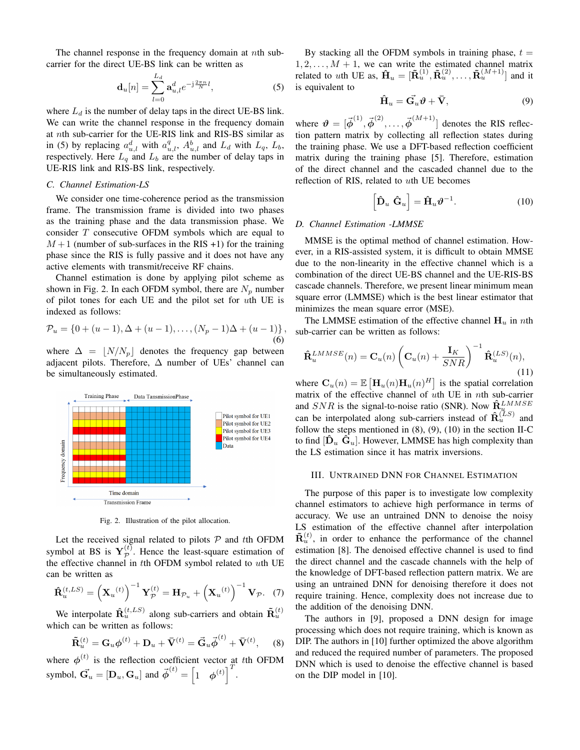The channel response in the frequency domain at *nth* subcarrier for the direct UE-BS link can be written as

$$
\mathbf{d}_{u}[n] = \sum_{l=0}^{L_d} \mathbf{a}_{u,l}^d e^{-j\frac{2\pi n}{N}l},
$$
 (5)

where  $L_d$  is the number of delay taps in the direct UE-BS link. We can write the channel response in the frequency domain at nth sub-carrier for the UE-RIS link and RIS-BS similar as in (5) by replacing  $a_{u,l}^d$  with  $a_{u,l}^q$ ,  $A_{u,l}^b$  and  $L_d$  with  $L_q$ ,  $L_b$ , respectively. Here  $L_q$  and  $L_b$  are the number of delay taps in UE-RIS link and RIS-BS link, respectively.

#### *C. Channel Estimation-LS*

We consider one time-coherence period as the transmission frame. The transmission frame is divided into two phases as the training phase and the data transmission phase. We consider T consecutive OFDM symbols which are equal to  $M+1$  (number of sub-surfaces in the RIS +1) for the training phase since the RIS is fully passive and it does not have any active elements with transmit/receive RF chains.

Channel estimation is done by applying pilot scheme as shown in Fig. 2. In each OFDM symbol, there are  $N_p$  number of pilot tones for each UE and the pilot set for uth UE is indexed as follows:

$$
\mathcal{P}_u = \{0 + (u-1), \Delta + (u-1), \dots, (N_p - 1)\Delta + (u-1)\},\tag{6}
$$

where  $\Delta = |N/N_p|$  denotes the frequency gap between adjacent pilots. Therefore,  $\Delta$  number of UEs' channel can be simultaneously estimated.



Fig. 2. Illustration of the pilot allocation.

Let the received signal related to pilots  $P$  and tth OFDM symbol at BS is  $\mathbf{Y}_{\mathcal{P}}^{(t)}$  $\mathcal{P}^{(t)}$ . Hence the least-square estimation of the effective channel in tth OFDM symbol related to uth UE can be written as

$$
\mathbf{\hat{R}}_{u}^{(t,LS)} = \left(\mathbf{X}_{u}^{(t)}\right)^{-1} \mathbf{Y}_{\mathcal{P}}^{(t)} = \mathbf{H}_{\mathcal{P}_{u}} + \left(\mathbf{X}_{u}^{(t)}\right)^{-1} \mathbf{V}_{\mathcal{P}}.
$$
 (7)

We interpolate  $\hat{\mathbf{R}}_u^{(t,LS)}$  along sub-carriers and obtain  $\tilde{\mathbf{R}}_u^{(t)}$ which can be written as follows:

$$
\tilde{\mathbf{R}}_u^{(t)} = \mathbf{G}_u \boldsymbol{\phi}^{(t)} + \mathbf{D}_u + \bar{\mathbf{V}}^{(t)} = \vec{\mathbf{G}}_u \vec{\boldsymbol{\phi}}^{(t)} + \bar{\mathbf{V}}^{(t)}, \quad (8)
$$

where  $\phi^{(t)}$  is the reflection coefficient vector at tth OFDM symbol,  $\vec{G_u} = [\mathbf{D}_u, \mathbf{G}_u]$  and  $\vec{\phi}^{(t)} = \begin{bmatrix} 1 & \phi^{(t)} \end{bmatrix}^T$ .

By stacking all the OFDM symbols in training phase,  $t =$  $1, 2, \ldots, M + 1$ , we can write the estimated channel matrix related to uth UE as,  $\mathbf{\hat{H}}_u = [\mathbf{\tilde{R}}_u^{(1)}, \mathbf{\tilde{R}}_u^{(2)}, \dots, \mathbf{\tilde{R}}_u^{(M+1)}]$  and it is equivalent to

$$
\hat{\mathbf{H}}_u = \vec{\mathbf{G}_u} \boldsymbol{\vartheta} + \bar{\mathbf{V}},\tag{9}
$$

where  $\mathbf{\vartheta} = [\vec{\phi}^{(1)}, \vec{\phi}^{(2)}, \dots, \vec{\phi}^{(M+1)}]$  denotes the RIS reflection pattern matrix by collecting all reflection states during the training phase. We use a DFT-based reflection coefficient matrix during the training phase [5]. Therefore, estimation of the direct channel and the cascaded channel due to the reflection of RIS, related to uth UE becomes

$$
\left[\hat{\mathbf{D}}_u \; \hat{\mathbf{G}}_u\right] = \hat{\mathbf{H}}_u \boldsymbol{\vartheta}^{-1}.
$$
 (10)

#### *D. Channel Estimation -LMMSE*

MMSE is the optimal method of channel estimation. However, in a RIS-assisted system, it is difficult to obtain MMSE due to the non-linearity in the effective channel which is a combination of the direct UE-BS channel and the UE-RIS-BS cascade channels. Therefore, we present linear minimum mean square error (LMMSE) which is the best linear estimator that minimizes the mean square error (MSE).

The LMMSE estimation of the effective channel  $H_u$  in nth sub-carrier can be written as follows:

$$
\hat{\mathbf{R}}_u^{LMMSE}(n) = \mathbf{C}_u(n) \left( \mathbf{C}_u(n) + \frac{\mathbf{I}_K}{SNR} \right)^{-1} \hat{\mathbf{R}}_u^{(LS)}(n),\tag{11}
$$

where  $\mathbf{C}_u(n) = \mathbb{E} \left[ \mathbf{H}_u(n) \mathbf{H}_u(n)^H \right]$  is the spatial correlation matrix of the effective channel of uth UE in nth sub-carrier and  $SNR$  is the signal-to-noise ratio (SNR). Now  $\hat{\mathbf{R}}_{\mu}^{LMMSE}$ can be interpolated along sub-carriers instead of  $\hat{\mathbf{R}}_u^{(LS)}$  and follow the steps mentioned in  $(8)$ ,  $(9)$ ,  $(10)$  in the section II-C to find  $[\hat{\mathbf{D}}_u \; \hat{\mathbf{G}}_u]$ . However, LMMSE has high complexity than the LS estimation since it has matrix inversions.

# III. UNTRAINED DNN FOR CHANNEL ESTIMATION

The purpose of this paper is to investigate low complexity channel estimators to achieve high performance in terms of accuracy. We use an untrained DNN to denoise the noisy LS estimation of the effective channel after interpolation  $\tilde{\mathbf{R}}_u^{(t)}$ , in order to enhance the performance of the channel estimation [8]. The denoised effective channel is used to find the direct channel and the cascade channels with the help of the knowledge of DFT-based reflection pattern matrix. We are using an untrained DNN for denoising therefore it does not require training. Hence, complexity does not increase due to the addition of the denoising DNN.

The authors in [9], proposed a DNN design for image processing which does not require training, which is known as DIP. The authors in [10] further optimized the above algorithm and reduced the required number of parameters. The proposed DNN which is used to denoise the effective channel is based on the DIP model in [10].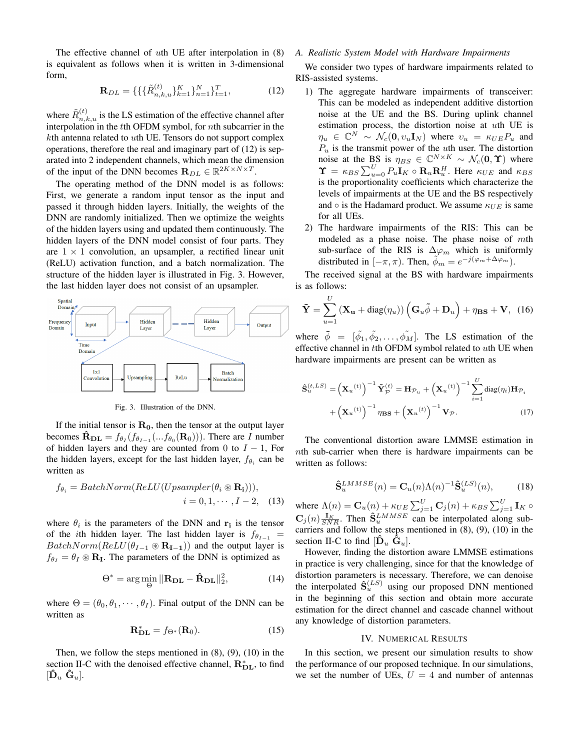The effective channel of *th UE after interpolation in*  $(8)$ is equivalent as follows when it is written in 3-dimensional form,

$$
\mathbf{R}_{DL} = \{ \{ \{\tilde{R}_{n,k,u}^{(t)}\}_{k=1}^{K} \}_{n=1}^{N} \}_{t=1}^{T},\tag{12}
$$

where  $\tilde{R}_{n,k,u}^{(t)}$  is the LS estimation of the effective channel after interpolation in the tth OFDM symbol, for nth subcarrier in the  $k$ th antenna related to uth UE. Tensors do not support complex operations, therefore the real and imaginary part of (12) is separated into 2 independent channels, which mean the dimension of the input of the DNN becomes  $\mathbf{R}_{DL} \in \mathbb{R}^{2K \times N \times T}$ .

The operating method of the DNN model is as follows: First, we generate a random input tensor as the input and passed it through hidden layers. Initially, the weights of the DNN are randomly initialized. Then we optimize the weights of the hidden layers using and updated them continuously. The hidden layers of the DNN model consist of four parts. They are  $1 \times 1$  convolution, an upsampler, a rectified linear unit (ReLU) activation function, and a batch normalization. The structure of the hidden layer is illustrated in Fig. 3. However, the last hidden layer does not consist of an upsampler.



Fig. 3. Illustration of the DNN.

If the initial tensor is  $\mathbf{R}_{0}$ , then the tensor at the output layer becomes  $\mathbf{\hat{R}}_{\textbf{DL}} = f_{\theta_I}(f_{\theta_{I-1}}(...f_{\theta_0}(\mathbf{R}_0)))$ . There are  $\tilde{I}$  number of hidden layers and they are counted from 0 to  $I - 1$ , For the hidden layers, except for the last hidden layer,  $f_{\theta_i}$  can be written as

$$
f_{\theta_i} = BatchNorm(ReLU(Up sampler(\theta_i \circledast \mathbf{R_i}))),
$$

$$
i = 0, 1, \cdots, I - 2, \quad (13)
$$

where  $\theta_i$  is the parameters of the DNN and  $\mathbf{r_i}$  is the tensor of the *i*th hidden layer. The last hidden layer is  $f_{\theta_{I-1}} =$  $BatchNorm(ReLU(\theta_{I-1} \otimes \mathbf{R}_{I-1}))$  and the output layer is  $f_{\theta_I} = \theta_I \otimes \mathbf{R}_I$ . The parameters of the DNN is optimized as

$$
\Theta^* = \arg\min_{\Theta} ||\mathbf{R}_{\mathbf{DL}} - \hat{\mathbf{R}}_{\mathbf{DL}}||_2^2, \tag{14}
$$

where  $\Theta = (\theta_0, \theta_1, \dots, \theta_I)$ . Final output of the DNN can be written as

$$
\mathbf{R}_{\mathbf{DL}}^* = f_{\Theta^*}(\mathbf{R}_0). \tag{15}
$$

Then, we follow the steps mentioned in  $(8)$ ,  $(9)$ ,  $(10)$  in the section II-C with the denoised effective channel,  $\mathbf{R}_{\text{DL}}^{*}$ , to find  $[\mathbf{D}_u \; \mathbf{G}_u]$ .

# *A. Realistic System Model with Hardware Impairments*

We consider two types of hardware impairments related to RIS-assisted systems.

- 1) The aggregate hardware impairments of transceiver: This can be modeled as independent additive distortion noise at the UE and the BS. During uplink channel estimation process, the distortion noise at uth UE is  $\eta_u \in \mathbb{C}^N \sim \mathcal{N}_c(\mathbf{0}, v_u \mathbf{I}_N)$  where  $v_u = \kappa_{UE} P_u$  and  $P_u$  is the transmit power of the uth user. The distortion noise at the BS is  $\eta_{BS} \in \mathbb{C}^{N \times K} \sim \mathcal{N}_c(\mathbf{0}, \mathbf{\hat{T}})$  where  $\Upsilon = \kappa_{BS} \sum_{u=0}^{U} P_u \mathbf{I}_K \circ \mathbf{R}_u \mathbf{R}_u^H$ . Here  $\kappa_{UE}$  and  $\kappa_{BS}$ is the proportionality coefficients which characterize the levels of impairments at the UE and the BS respectively and  $\circ$  is the Hadamard product. We assume  $\kappa_{UE}$  is same for all UEs.
- 2) The hardware impairments of the RIS: This can be modeled as a phase noise. The phase noise of mth sub-surface of the RIS is  $\Delta\varphi_m$  which is uniformly distributed in  $[-\pi, \pi)$ . Then,  $\tilde{\phi}_m = e^{-j(\varphi_m + \Delta \varphi_m)}$ .

The received signal at the BS with hardware impairments is as follows:

$$
\tilde{\mathbf{Y}} = \sum_{u=1}^{U} (\mathbf{X}_{\mathbf{u}} + \text{diag}(\eta_u)) (\mathbf{G}_u \tilde{\phi} + \mathbf{D}_u) + \eta_{\mathbf{BS}} + \mathbf{V}, \tag{16}
$$

where  $\tilde{\phi} = [\tilde{\phi_1}, \tilde{\phi_2}, \dots, \tilde{\phi_M}]$ . The LS estimation of the effective channel in  $t$ th OFDM symbol related to  $u$ th UE when hardware impairments are present can be written as

$$
\hat{\mathbf{S}}_{u}^{(t,LS)} = \left(\mathbf{X}_{u}^{(t)}\right)^{-1} \tilde{\mathbf{Y}}_{\mathcal{P}}^{(t)} = \mathbf{H}_{\mathcal{P}_{u}} + \left(\mathbf{X}_{u}^{(t)}\right)^{-1} \sum_{i=1}^{U} \text{diag}(\eta_{i}) \mathbf{H}_{\mathcal{P}_{i}} + \left(\mathbf{X}_{u}^{(t)}\right)^{-1} \eta_{\mathbf{BS}} + \left(\mathbf{X}_{u}^{(t)}\right)^{-1} \mathbf{V}_{\mathcal{P}}.
$$
\n(17)

The conventional distortion aware LMMSE estimation in nth sub-carrier when there is hardware impairments can be written as follows:

$$
\hat{\mathbf{S}}_u^{LMMSE}(n) = \mathbf{C}_u(n) \Lambda(n)^{-1} \hat{\mathbf{S}}_u^{(LS)}(n),\tag{18}
$$

where  $\Lambda(n) = \mathbf{C}_u(n) + \kappa_{UE} \sum_{j=1}^{U} \mathbf{C}_j(n) + \kappa_{BS} \sum_{j=1}^{U} \mathbf{I}_K$  $\mathbf{C}_j(n) \frac{\mathbf{I}_K}{SNR}$ . Then  $\hat{\mathbf{S}}_u^{LMMSE}$  can be interpolated along subcarriers and follow the steps mentioned in (8), (9), (10) in the section II-C to find  $[\hat{\mathbf{D}}_u \; \hat{\mathbf{G}}_u]$ .

However, finding the distortion aware LMMSE estimations in practice is very challenging, since for that the knowledge of distortion parameters is necessary. Therefore, we can denoise the interpolated  $\hat{\mathbf{S}}_u^{(LS)}$  using our proposed DNN mentioned in the beginning of this section and obtain more accurate estimation for the direct channel and cascade channel without any knowledge of distortion parameters.

#### IV. NUMERICAL RESULTS

In this section, we present our simulation results to show the performance of our proposed technique. In our simulations, we set the number of UEs,  $U = 4$  and number of antennas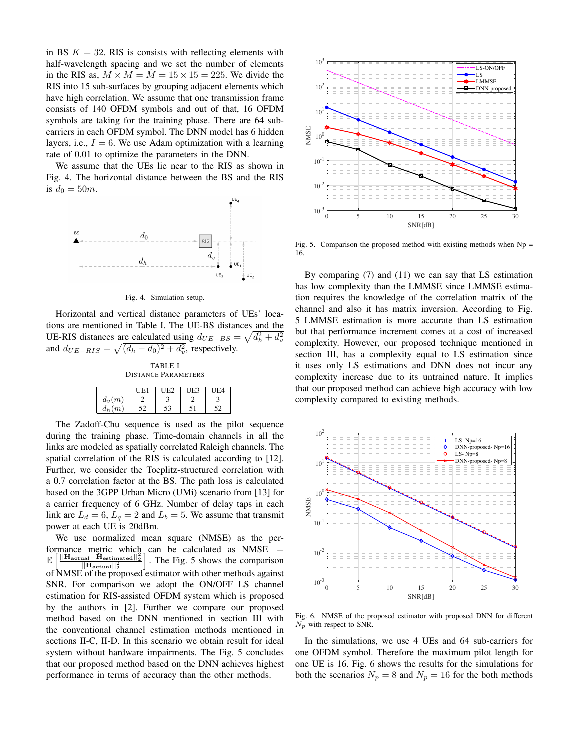in BS  $K = 32$ . RIS is consists with reflecting elements with half-wavelength spacing and we set the number of elements in the RIS as,  $M \times M = \tilde{M} = 15 \times 15 = 225$ . We divide the RIS into 15 sub-surfaces by grouping adjacent elements which have high correlation. We assume that one transmission frame consists of 140 OFDM symbols and out of that, 16 OFDM symbols are taking for the training phase. There are 64 subcarriers in each OFDM symbol. The DNN model has 6 hidden layers, i.e.,  $I = 6$ . We use Adam optimization with a learning rate of 0.01 to optimize the parameters in the DNN.

We assume that the UEs lie near to the RIS as shown in Fig. 4. The horizontal distance between the BS and the RIS is  $d_0 = 50m$ .



Fig. 4. Simulation setup.

Horizontal and vertical distance parameters of UEs' locations are mentioned in Table I. The UE-BS distances and the UE-RIS distances are calculated using  $d_{UE-BS} = \sqrt{d_h^2 + d_v^2}$ and  $d_{UE-RIS} = \sqrt{(d_h - d_0)^2 + d_v^2}$ , respectively.

TABLE I DISTANCE PARAMETERS

|          | IH. |    | UE <sup>4</sup> | F4 |
|----------|-----|----|-----------------|----|
| $d_v(m)$ |     |    |                 |    |
| $d_h(m)$ |     | こつ |                 |    |

The Zadoff-Chu sequence is used as the pilot sequence during the training phase. Time-domain channels in all the links are modeled as spatially correlated Raleigh channels. The spatial correlation of the RIS is calculated according to [12]. Further, we consider the Toeplitz-structured correlation with a 0.7 correlation factor at the BS. The path loss is calculated based on the 3GPP Urban Micro (UMi) scenario from [13] for a carrier frequency of 6 GHz. Number of delay taps in each link are  $L_d = 6$ ,  $L_q = 2$  and  $L_b = 5$ . We assume that transmit power at each UE is 20dBm.

We use normalized mean square (NMSE) as the performance metric which can be calculated as  $NMSE$  = E  $\left[\frac{\left\Vert \mathbf{H}_\text{actual}-\hat{\mathbf{H}}_\text{estimated}\right\Vert _{2}^{2}}{\left\Vert \mathbf{H}_\text{actual}\right\Vert _{2}^{2}}\right]$ i . The Fig. 5 shows the comparison of NMSE of the proposed estimator with other methods against SNR. For comparison we adopt the ON/OFF LS channel estimation for RIS-assisted OFDM system which is proposed by the authors in [2]. Further we compare our proposed method based on the DNN mentioned in section III with the conventional channel estimation methods mentioned in sections II-C, II-D. In this scenario we obtain result for ideal system without hardware impairments. The Fig. 5 concludes that our proposed method based on the DNN achieves highest performance in terms of accuracy than the other methods.



Fig. 5. Comparison the proposed method with existing methods when  $Np =$ 16.

By comparing (7) and (11) we can say that LS estimation has low complexity than the LMMSE since LMMSE estimation requires the knowledge of the correlation matrix of the channel and also it has matrix inversion. According to Fig. 5 LMMSE estimation is more accurate than LS estimation but that performance increment comes at a cost of increased complexity. However, our proposed technique mentioned in section III, has a complexity equal to LS estimation since it uses only LS estimations and DNN does not incur any complexity increase due to its untrained nature. It implies that our proposed method can achieve high accuracy with low complexity compared to existing methods.



Fig. 6. NMSE of the proposed estimator with proposed DNN for different  $N_p$  with respect to SNR.

In the simulations, we use 4 UEs and 64 sub-carriers for one OFDM symbol. Therefore the maximum pilot length for one UE is 16. Fig. 6 shows the results for the simulations for both the scenarios  $N_p = 8$  and  $N_p = 16$  for the both methods